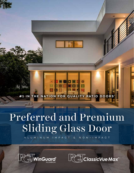### THE NATION FOR QUALITY PATIO DOORS

**BORE** 

图

### Preferred and Premium Sliding Glass Door

ALUMINUM IMPACT & NON-IMPACT





1 / WINGUARD® ALUMINUM AND CLASSIC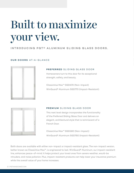# Built to maximize your view.

INTRODUCING PGT® ALUMINUM SLIDING GLASS DOORS.

### OUR DOORS AT-A-GLANCE



### PREFERRED SLIDING GLASS DOOR

Homeowners turn to this door for its exceptional strength, safety, and beauty.

ClassicVue Max™ SGD670 (Non-Impact) WinGuard® Aluminum SGD770 (Impact-Resistant)



### PREMIUM SLIDING GLASS DOOR

This next level design incorporates the functionality of the Preferred Sliding Glass Door and delivers an elegant, architectural style that is reminiscent of a French Door.

ClassicVue Max™ SGD680 (Non-Impact) WinGuard® Aluminum SGD780 (Impact-Resistant)

Both doors are available with either non-impact or impact-resistant glass. The non-impact version, better known as ClassicVue Max™, is engineered to last. WinGuard® Aluminum, our impact-resistant line, enhances peace-of-mind. It helps protect your loved ones from severe weather, would-be intruders, and noise pollution. Plus, impact-resistant products can help lower your insurance premium while the overall value of your home increases.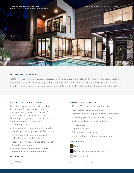

### DOORS PUT TO THE TEST

All PGT® products are continuously tested, certified, approved, and rated by the industry's most respected, accredited organizations including Miami-Dade Notice of Acceptance, AAMA Tested/Keystone Certified, Florida Product Approval, National Fenestration Rating Council (NFRC), and Sound Transmission Class (STC).

### STANDARD FEATURES

Both lines come standard with a white frame, ideal for new construction and remodeling projects. In terms of glass, ClassicVue Max™ is equipped with tempered glass while WinGuard® Aluminum comes standard with laminated glass.

- Matches your home's style with multipanel, by-pass, or pocket configurations
- Dual-point locking system provides added strength and security
- Heavy-duty tandem rollers offer smooth fingertip operation
- Hidden installation/assembly screws provide a sleek, clean appearance

#### FRAME COLOR



### PREMIUM OPTIONS

- 90° or 135° corner meet configurations
- High-performance Low-E glass
- Laminated insulating glass (WinGuard® only)
- Insulating glass (ClassicVue Max™ only)
- Various hardware colors/handles
- Privacy glass
- Popular glass tints
- Grid styles and patterns
- Energy-efficient options like argon gas

#### FRAME COLORS



Black (Only Available on SGD670/770)

Clear Andodize

*Custom frame colors are also available.*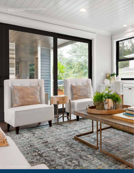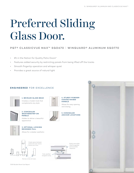# Preferred Sliding Glass Door.

### PGT® CLASSICVUE MAX™ SGD670 | WINGUARD® ALUMINUM SGD770

- #1 in the Nation for Quality Patio Doors\*
- Features added security by restricting panels from being lifted off the tracks
- Smooth fingertip operation and whisper quiet
- Provides a great source of natural light

### ENGINEERED FOR EXCELLENCE



1. BEVELED GLASS BEAD Creates a modern look that complements any style



2. CONCEALED WEATHERSTRIP ON PANELS Hidden to deliver a beautiful appearance



3. OPTIONAL LOCKING RECESSED PULL Allows for a sleeker aesthetic



### 5. CONCEALED ANCHOR LOCATIONS

4. STURDY POWDER-COATED RAISED HANDLE

Allows for easy opening

and closing



Narrow or box sill risers



 $\overline{\mathbf{5}}$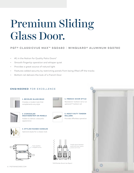### Premium Sliding Glass Door.

### PGT® CLASSICVUE MAX™ SGD680 | WINGUARD® ALUMINUM SGD780

- #1 in the Nation for Quality Patio Doors\*
- Smooth fingertip operation and whisper quiet
- Provides a great source of natural light
- Features added security by restricting panels from being lifted off the tracks
- Bottom rail delivers the look of a French Door

### ENGINEERED FOR EXCELLENCE



1. BEVELED GLASS BEAD Creates a modern look that complements any style



#### 4. FRENCH-DOOR STYLE Standard 4" bottom rail or an

optional 9" bottom rail

5. HEAVY-DUTY TANDEM

Provides effortless operation

ROLLERS





3. STYLISH RAISED HANDLES Optional styles for a classic look





Ample space between panel and riser means .<br>panels won't bind

*\*2019 Builder Brand Use Report.*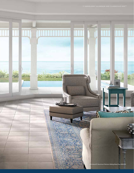